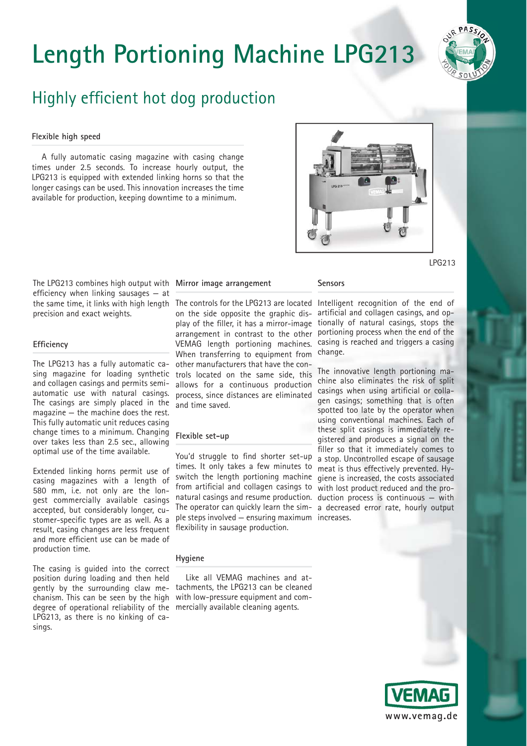# **Length Portioning Machine LPG213**



### Highly efficient hot dog production

#### **Flexible high speed**

A fully automatic casing magazine with casing change times under 2.5 seconds. To increase hourly output, the LPG213 is equipped with extended linking horns so that the longer casings can be used. This innovation increases the time available for production, keeping downtime to a minimum.



LPG213

The LPG213 combines high output with **Mirror image arrangement** efficiency when linking sausages  $-$  at precision and exact weights.

#### **Efficiency**

The LPG213 has a fully automatic casing magazine for loading synthetic and collagen casings and permits semiautomatic use with natural casings. The casings are simply placed in the magazine — the machine does the rest. This fully automatic unit reduces casing change times to a minimum. Changing over takes less than 2.5 sec., allowing optimal use of the time available.

Extended linking horns permit use of casing magazines with a length of 580 mm, i.e. not only are the longest commercially available casings accepted, but considerably longer, customer-specific types are as well. As a result, casing changes are less frequent and more efficient use can be made of production time.

The casing is guided into the correct position during loading and then held chanism. This can be seen by the high degree of operational reliability of the mercially available cleaning agents. LPG213, as there is no kinking of casings.

on the side opposite the graphic dis- artificial and collagen casings, and op-When transferring to equipment from other manufacturers that have the controls located on the same side, this allows for a continuous production allows for a continuous production casings when using artificial or colla-<br>process, since distances are eliminated son essings: comething that is often and time saved.

#### **Flexible set-up**

You'd struggle to find shorter set-up times. It only takes a few minutes to meat is thus effectively prevented. Hyswitch the length portioning machine giene is increased, the costs associated from artificial and collagen casings to with lost product reduced and the pronatural casings and resume production. duction process is continuous — with The operator can quickly learn the sim-a decreased error rate, hourly output ple steps involved — ensuring maximum increases.flexibility in sausage production.

#### **Hygiene**

gently by the surrounding claw me-tachments, the LPG213 can be cleaned Like all VEMAG machines and atwith low-pressure equipment and com-

#### **Sensors**

the same time, it links with high length The controls for the LPG213 are located Intelligent recognition of the end of play of the filler, it has a mirror-image tionally of natural casings, stops the arrangement in contrast to the other portioning process when the end of the VEMAG length portioning machines. casing is reached and triggers a casing change.

> The innovative length portioning machine also eliminates the risk of split gen casings; something that is often spotted too late by the operator when using conventional machines. Each of these split casings is immediately registered and produces a signal on the filler so that it immediately comes to a stop. Uncontrolled escape of sausage